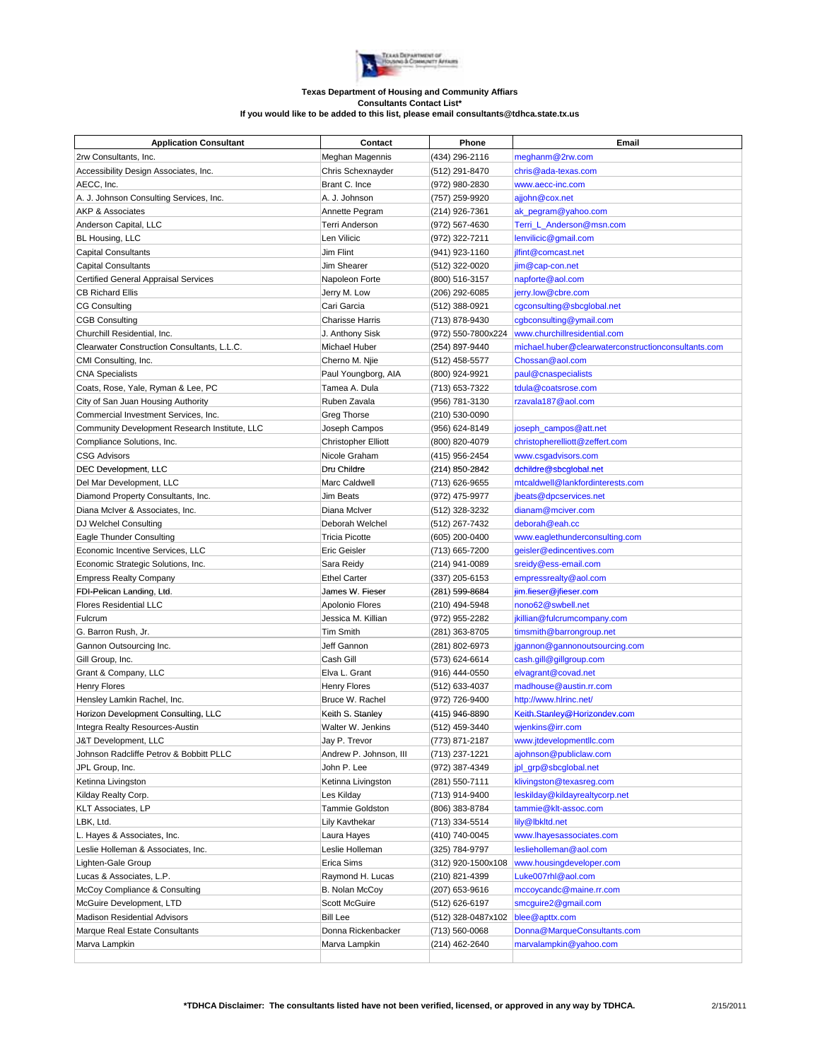

## **Texas Department of Housing and Community Affiars Consultants Contact List\* If you would like to be added to this list, please email consultants@tdhca.state.tx.us**

| <b>Application Consultant</b>                                     | Contact                        | Phone              | Email                                               |
|-------------------------------------------------------------------|--------------------------------|--------------------|-----------------------------------------------------|
| 2rw Consultants, Inc.                                             | Meghan Magennis                | (434) 296-2116     | meghanm@2rw.com                                     |
| Accessibility Design Associates, Inc.                             | Chris Schexnayder              | (512) 291-8470     | chris@ada-texas.com                                 |
| AECC, Inc.                                                        | Brant C. Ince                  | (972) 980-2830     | www.aecc-inc.com                                    |
| A. J. Johnson Consulting Services, Inc.                           | A. J. Johnson                  | (757) 259-9920     | ajjohn@cox.net                                      |
| <b>AKP &amp; Associates</b>                                       | Annette Pegram                 | (214) 926-7361     | ak_pegram@yahoo.com                                 |
| Anderson Capital, LLC                                             | <b>Terri Anderson</b>          | (972) 567-4630     | Terri L Anderson@msn.com                            |
| BL Housing, LLC                                                   | Len Vilicic                    | (972) 322-7211     | lenvilicic@gmail.com                                |
| <b>Capital Consultants</b>                                        | Jim Flint                      | (941) 923-1160     | jlfint@comcast.net                                  |
| <b>Capital Consultants</b>                                        | Jim Shearer                    | (512) 322-0020     | jim@cap-con.net                                     |
| Certified General Appraisal Services                              | Napoleon Forte                 | (800) 516-3157     | napforte@aol.com                                    |
| <b>CB Richard Ellis</b>                                           | Jerry M. Low                   | (206) 292-6085     | jerry.low@cbre.com                                  |
| <b>CG Consulting</b>                                              | Cari Garcia                    | (512) 388-0921     | cgconsulting@sbcglobal.net                          |
| <b>CGB Consulting</b>                                             | <b>Charisse Harris</b>         | (713) 878-9430     | cgbconsulting@ymail.com                             |
| Churchill Residential, Inc.                                       | J. Anthony Sisk                | (972) 550-7800x224 | www.churchillresidential.com                        |
| Clearwater Construction Consultants, L.L.C.                       | Michael Huber                  | (254) 897-9440     | michael.huber@clearwaterconstructionconsultants.com |
| CMI Consulting, Inc.                                              | Cherno M. Njie                 | (512) 458-5577     | Chossan@aol.com                                     |
| <b>CNA Specialists</b>                                            | Paul Youngborg, AIA            | (800) 924-9921     | paul@cnaspecialists                                 |
| Coats, Rose, Yale, Ryman & Lee, PC                                | Tamea A. Dula                  | (713) 653-7322     | tdula@coatsrose.com                                 |
| City of San Juan Housing Authority                                | Ruben Zavala                   | (956) 781-3130     | rzavala187@aol.com                                  |
| Commercial Investment Services, Inc.                              | Greg Thorse                    | (210) 530-0090     |                                                     |
| Community Development Research Institute, LLC                     | Joseph Campos                  | (956) 624-8149     | joseph_campos@att.net                               |
| Compliance Solutions, Inc.                                        | <b>Christopher Elliott</b>     | (800) 820-4079     | christopherelliott@zeffert.com                      |
| <b>CSG Advisors</b>                                               | Nicole Graham                  | (415) 956-2454     | www.csgadvisors.com                                 |
| DEC Development, LLC                                              | Dru Childre                    | (214) 850-2842     | dchildre@sbcglobal.net                              |
| Del Mar Development, LLC                                          | Marc Caldwell                  | (713) 626-9655     | mtcaldwell@lankfordinterests.com                    |
| Diamond Property Consultants, Inc.                                | <b>Jim Beats</b>               | (972) 475-9977     | jbeats@dpcservices.net                              |
| Diana McIver & Associates, Inc.                                   | Diana McIver                   | (512) 328-3232     | dianam@mciver.com                                   |
| DJ Welchel Consulting                                             | Deborah Welchel                | (512) 267-7432     | deborah@eah.cc                                      |
| Eagle Thunder Consulting                                          | <b>Tricia Picotte</b>          | (605) 200-0400     | www.eaglethunderconsulting.com                      |
| Economic Incentive Services, LLC                                  | Eric Geisler                   | (713) 665-7200     | geisler@edincentives.com                            |
| Economic Strategic Solutions, Inc.                                | Sara Reidy                     | (214) 941-0089     | sreidy@ess-email.com                                |
| <b>Empress Realty Company</b>                                     | <b>Ethel Carter</b>            | (337) 205-6153     | empressrealty@aol.com                               |
| FDI-Pelican Landing, Ltd.                                         | James W. Fieser                | (281) 599-8684     | jim.fieser@jfieser.com                              |
| <b>Flores Residential LLC</b>                                     | Apolonio Flores                | (210) 494-5948     | nono62@swbell.net                                   |
| Fulcrum                                                           | Jessica M. Killian             | (972) 955-2282     | jkillian@fulcrumcompany.com                         |
| G. Barron Rush, Jr.                                               | <b>Tim Smith</b>               | (281) 363-8705     | timsmith@barrongroup.net                            |
| Gannon Outsourcing Inc.                                           | Jeff Gannon                    | (281) 802-6973     | jgannon@gannonoutsourcing.com                       |
| Gill Group, Inc.                                                  | Cash Gill                      | (573) 624-6614     | cash.gill@gillgroup.com                             |
| Grant & Company, LLC                                              | Elva L. Grant                  | (916) 444-0550     | elvagrant@covad.net                                 |
| Henry Flores                                                      | Henry Flores                   | (512) 633-4037     | madhouse@austin.rr.com                              |
| Hensley Lamkin Rachel, Inc.                                       | Bruce W. Rachel                | (972) 726-9400     | http://www.hlrinc.net/                              |
| Horizon Development Consulting, LLC                               | Keith S. Stanley               | (415) 946-8890     | Keith.Stanley@Horizondev.com                        |
| Integra Realty Resources-Austin                                   | Walter W. Jenkins              | (512) 459-3440     | wjenkins@irr.com                                    |
| J&T Development, LLC                                              | Jay P. Trevor                  | (773) 871-2187     | www.jtdevelopmentllc.com                            |
| Johnson Radcliffe Petrov & Bobbitt PLLC                           | Andrew P. Johnson, III         | (713) 237-1221     | ajohnson@publiclaw.com                              |
| JPL Group, Inc.                                                   | John P. Lee                    | (972) 387-4349     | jpl_grp@sbcglobal.net                               |
| Ketinna Livingston                                                | Ketinna Livingston             | (281) 550-7111     | klivingston@texasreg.com                            |
| Kilday Realty Corp.                                               | Les Kilday                     | (713) 914-9400     | leskilday@kildayrealtycorp.net                      |
| KLT Associates, LP                                                | Tammie Goldston                | (806) 383-8784     | tammie@klt-assoc.com                                |
| LBK, Ltd.                                                         | Lily Kavthekar                 | (713) 334-5514     | lily@lbkltd.net                                     |
|                                                                   |                                |                    |                                                     |
| L. Hayes & Associates, Inc.<br>Leslie Holleman & Associates, Inc. | Laura Hayes<br>Leslie Holleman | (410) 740-0045     | www.lhayesassociates.com<br>leslieholleman@aol.com  |
|                                                                   |                                | (325) 784-9797     |                                                     |
| Lighten-Gale Group                                                | Erica Sims                     | (312) 920-1500x108 | www.housingdeveloper.com                            |
| Lucas & Associates, L.P.                                          | Raymond H. Lucas               | (210) 821-4399     | Luke007rhl@aol.com                                  |
| McCoy Compliance & Consulting                                     | B. Nolan McCoy                 | (207) 653-9616     | mccoycandc@maine.rr.com                             |
| McGuire Development, LTD                                          | <b>Scott McGuire</b>           | (512) 626-6197     | smcguire2@gmail.com                                 |
| Madison Residential Advisors                                      | <b>Bill Lee</b>                | (512) 328-0487x102 | blee@apttx.com                                      |
| Marque Real Estate Consultants                                    | Donna Rickenbacker             | (713) 560-0068     | Donna@MarqueConsultants.com                         |
| Marva Lampkin                                                     | Marva Lampkin                  | (214) 462-2640     | marvalampkin@yahoo.com                              |